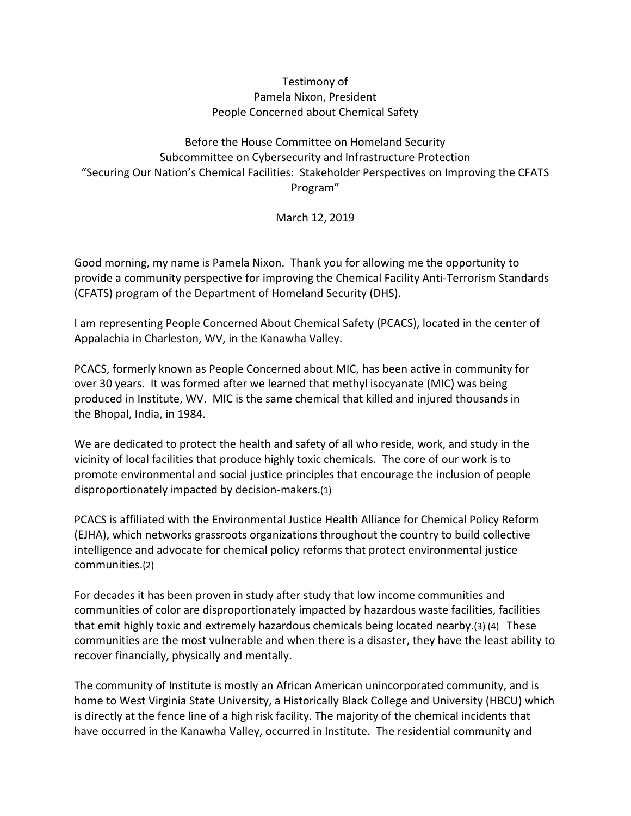## Testimony of Pamela Nixon, President People Concerned about Chemical Safety

Before the House Committee on Homeland Security Subcommittee on Cybersecurity and Infrastructure Protection "Securing Our Nation's Chemical Facilities: Stakeholder Perspectives on Improving the CFATS Program"

March 12, 2019

Good morning, my name is Pamela Nixon. Thank you for allowing me the opportunity to provide a community perspective for improving the Chemical Facility Anti-Terrorism Standards (CFATS) program of the Department of Homeland Security (DHS).

I am representing People Concerned About Chemical Safety (PCACS), located in the center of Appalachia in Charleston, WV, in the Kanawha Valley.

PCACS, formerly known as People Concerned about MIC, has been active in community for over 30 years. It was formed after we learned that methyl isocyanate (MIC) was being produced in Institute, WV. MIC is the same chemical that killed and injured thousands in the Bhopal, India, in 1984.

We are dedicated to protect the health and safety of all who reside, work, and study in the vicinity of local facilities that produce highly toxic chemicals. The core of our work is to promote environmental and social justice principles that encourage the inclusion of people disproportionately impacted by decision-makers.(1)

PCACS is affiliated with the Environmental Justice Health Alliance for Chemical Policy Reform (EJHA), which networks grassroots organizations throughout the country to build collective intelligence and advocate for chemical policy reforms that protect environmental justice communities.(2)

For decades it has been proven in study after study that low income communities and communities of color are disproportionately impacted by hazardous waste facilities, facilities that emit highly toxic and extremely hazardous chemicals being located nearby.(3) (4) These communities are the most vulnerable and when there is a disaster, they have the least ability to recover financially, physically and mentally.

The community of Institute is mostly an African American unincorporated community, and is home to West Virginia State University, a Historically Black College and University (HBCU) which is directly at the fence line of a high risk facility. The majority of the chemical incidents that have occurred in the Kanawha Valley, occurred in Institute. The residential community and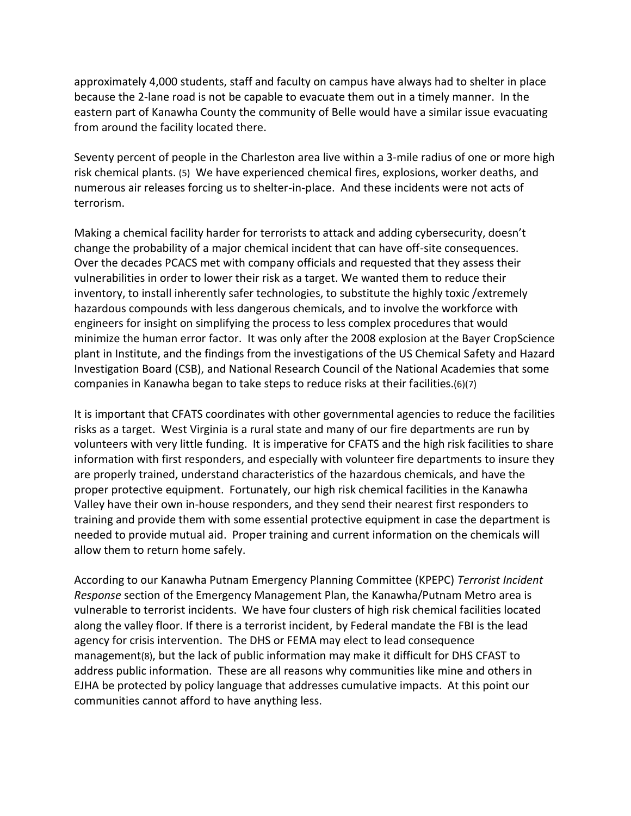approximately 4,000 students, staff and faculty on campus have always had to shelter in place because the 2-lane road is not be capable to evacuate them out in a timely manner. In the eastern part of Kanawha County the community of Belle would have a similar issue evacuating from around the facility located there.

Seventy percent of people in the Charleston area live within a 3-mile radius of one or more high risk chemical plants. (5) We have experienced chemical fires, explosions, worker deaths, and numerous air releases forcing us to shelter-in-place. And these incidents were not acts of terrorism.

Making a chemical facility harder for terrorists to attack and adding cybersecurity, doesn't change the probability of a major chemical incident that can have off-site consequences. Over the decades PCACS met with company officials and requested that they assess their vulnerabilities in order to lower their risk as a target. We wanted them to reduce their inventory, to install inherently safer technologies, to substitute the highly toxic /extremely hazardous compounds with less dangerous chemicals, and to involve the workforce with engineers for insight on simplifying the process to less complex procedures that would minimize the human error factor. It was only after the 2008 explosion at the Bayer CropScience plant in Institute, and the findings from the investigations of the US Chemical Safety and Hazard Investigation Board (CSB), and National Research Council of the National Academies that some companies in Kanawha began to take steps to reduce risks at their facilities.(6)(7)

It is important that CFATS coordinates with other governmental agencies to reduce the facilities risks as a target. West Virginia is a rural state and many of our fire departments are run by volunteers with very little funding. It is imperative for CFATS and the high risk facilities to share information with first responders, and especially with volunteer fire departments to insure they are properly trained, understand characteristics of the hazardous chemicals, and have the proper protective equipment. Fortunately, our high risk chemical facilities in the Kanawha Valley have their own in-house responders, and they send their nearest first responders to training and provide them with some essential protective equipment in case the department is needed to provide mutual aid. Proper training and current information on the chemicals will allow them to return home safely.

According to our Kanawha Putnam Emergency Planning Committee (KPEPC) *Terrorist Incident Response* section of the Emergency Management Plan, the Kanawha/Putnam Metro area is vulnerable to terrorist incidents. We have four clusters of high risk chemical facilities located along the valley floor. If there is a terrorist incident, by Federal mandate the FBI is the lead agency for crisis intervention. The DHS or FEMA may elect to lead consequence management(8), but the lack of public information may make it difficult for DHS CFAST to address public information. These are all reasons why communities like mine and others in EJHA be protected by policy language that addresses cumulative impacts. At this point our communities cannot afford to have anything less.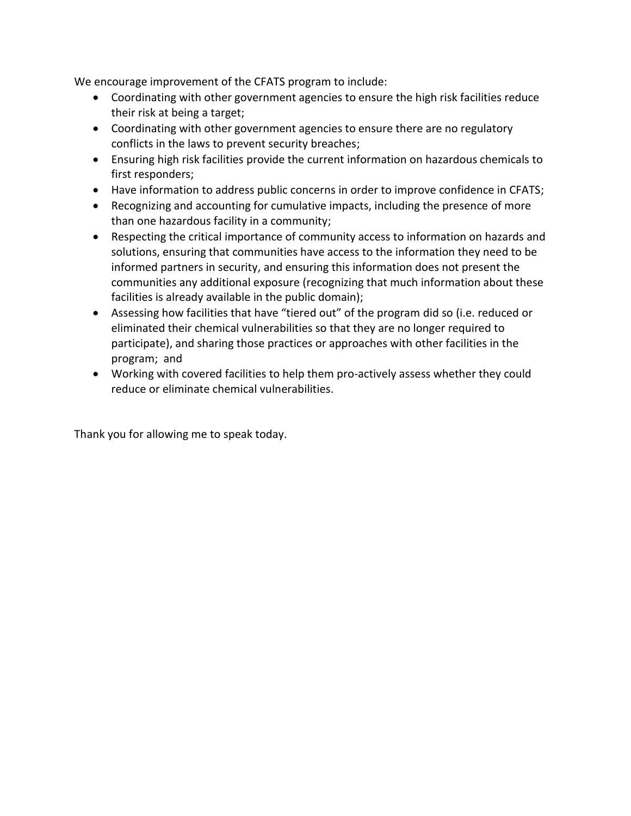We encourage improvement of the CFATS program to include:

- Coordinating with other government agencies to ensure the high risk facilities reduce their risk at being a target;
- Coordinating with other government agencies to ensure there are no regulatory conflicts in the laws to prevent security breaches;
- Ensuring high risk facilities provide the current information on hazardous chemicals to first responders;
- Have information to address public concerns in order to improve confidence in CFATS;
- Recognizing and accounting for cumulative impacts, including the presence of more than one hazardous facility in a community;
- Respecting the critical importance of community access to information on hazards and solutions, ensuring that communities have access to the information they need to be informed partners in security, and ensuring this information does not present the communities any additional exposure (recognizing that much information about these facilities is already available in the public domain);
- Assessing how facilities that have "tiered out" of the program did so (i.e. reduced or eliminated their chemical vulnerabilities so that they are no longer required to participate), and sharing those practices or approaches with other facilities in the program; and
- Working with covered facilities to help them pro-actively assess whether they could reduce or eliminate chemical vulnerabilities.

Thank you for allowing me to speak today.